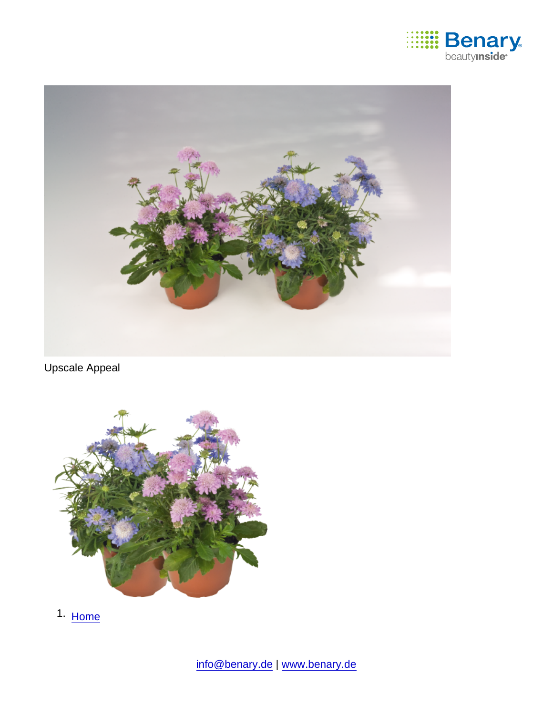

Upscale Appeal

1. [Home](https://www.benary.com/)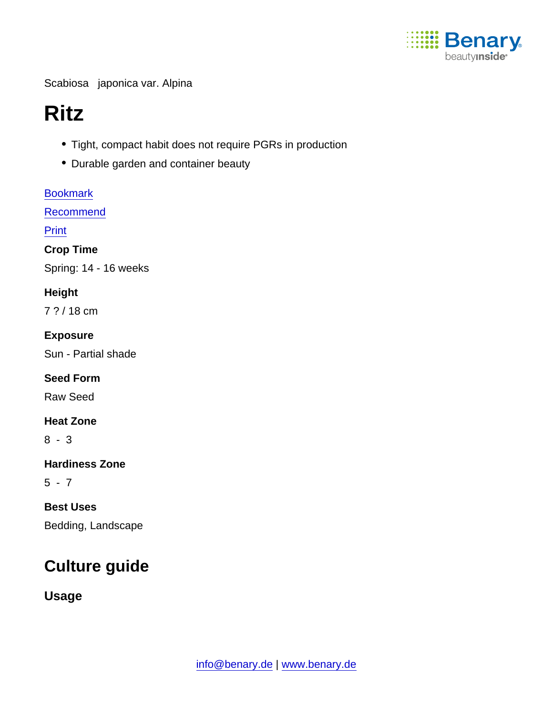

Scabiosa japonica var. Alpina

# Ritz

- Tight, compact habit does not require PGRs in production
- Durable garden and container beauty

[Bookmark](https://www.benary.com/flag/flag/product/6274?destination&token=YHjcfbE16JJhkU3j9oYDxD4rO-Hzul0B_sk0fVETjwc) **[Recommend](mailto:?subject=Benary Scabiosa japonica var. Alpina &body=https://www.benary.com/print/pdf/node/6274)** 

Print

Crop Time

Spring: 14 - 16 weeks

Height

7 ? / 18 cm

Exposure

Sun - Partial shade

Seed Form

Raw Seed

Heat Zone

8 - 3

Hardiness Zone

 $5 - 7$ 

Best Uses

Bedding, Landscape

# Culture guide

Usage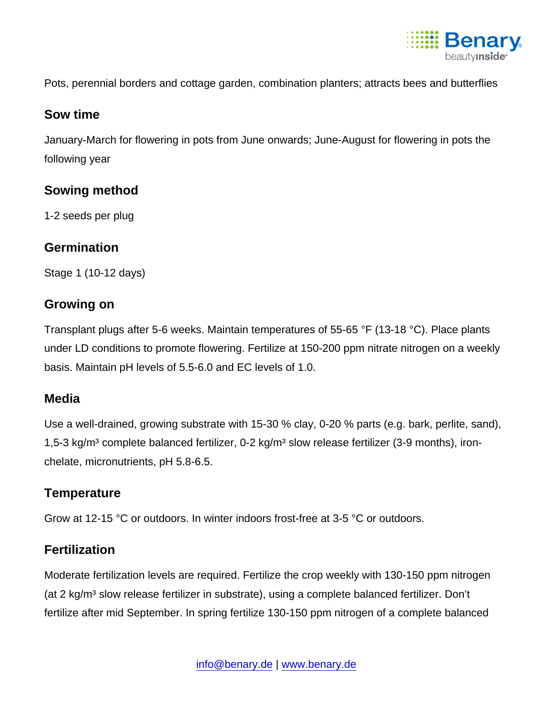

Pots, perennial borders and cottage garden, combination planters; attracts bees and butterflies

#### Sow time

January-March for flowering in pots from June onwards; June-August for flowering in pots the following year

# Sowing method

1-2 seeds per plug

# **Germination**

Stage 1 (10-12 days)

# Growing on

Transplant plugs after 5-6 weeks. Maintain temperatures of 55-65 °F (13-18 °C). Place plants under LD conditions to promote flowering. Fertilize at 150-200 ppm nitrate nitrogen on a weekly basis. Maintain pH levels of 5.5-6.0 and EC levels of 1.0.

# Media

Use a well-drained, growing substrate with 15-30 % clay, 0-20 % parts (e.g. bark, perlite, sand), 1,5-3 kg/m<sup>3</sup> complete balanced fertilizer, 0-2 kg/m<sup>3</sup> slow release fertilizer (3-9 months), ironchelate, micronutrients, pH 5.8-6.5.

# **Temperature**

Grow at 12-15 °C or outdoors. In winter indoors frost-free at 3-5 °C or outdoors.

#### **Fertilization**

Moderate fertilization levels are required. Fertilize the crop weekly with 130-150 ppm nitrogen (at 2 kg/m<sup>3</sup> slow release fertilizer in substrate), using a complete balanced fertilizer. Don't fertilize after mid September. In spring fertilize 130-150 ppm nitrogen of a complete balanced